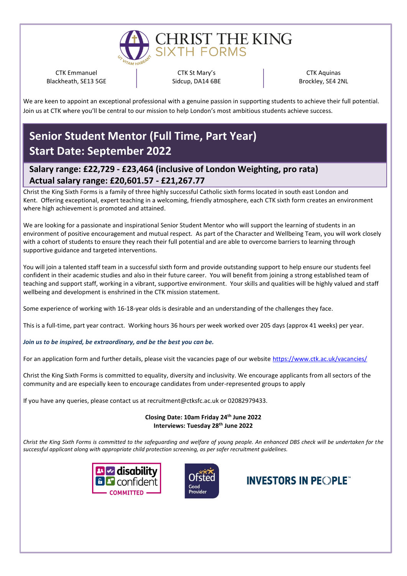

CTK Emmanuel Blackheath, SE13 5GE

CTK St Mary's Sidcup, DA14 6BE

CTK Aquinas Brockley, SE4 2NL

We are keen to appoint an exceptional professional with a genuine passion in supporting students to achieve their full potential. Join us at CTK where you'll be central to our mission to help London's most ambitious students achieve success.

# **Senior Student Mentor (Full Time, Part Year) Start Date: September 2022**

### **Salary range: £22,729 - £23,464 (inclusive of London Weighting, pro rata) Actual salary range: £20,601.57 - £21,267.77**

Christ the King Sixth Forms is a family of three highly successful Catholic sixth forms located in south east London and Kent. Offering exceptional, expert teaching in a welcoming, friendly atmosphere, each CTK sixth form creates an environment where high achievement is promoted and attained.

We are looking for a passionate and inspirational Senior Student Mentor who will support the learning of students in an environment of positive encouragement and mutual respect. As part of the Character and Wellbeing Team, you will work closely with a cohort of students to ensure they reach their full potential and are able to overcome barriers to learning through supportive guidance and targeted interventions.

You will join a talented staff team in a successful sixth form and provide outstanding support to help ensure our students feel confident in their academic studies and also in their future career. You will benefit from joining a strong established team of teaching and support staff, working in a vibrant, supportive environment. Your skills and qualities will be highly valued and staff wellbeing and development is enshrined in the CTK mission statement.

Some experience of working with 16-18-year olds is desirable and an understanding of the challenges they face.

This is a full-time, part year contract. Working hours 36 hours per week worked over 205 days (approx 41 weeks) per year.

*Join us to be inspired, be extraordinary, and be the best you can be.*

For an application form and further details, please visit the vacancies page of our website <https://www.ctk.ac.uk/vacancies/>

Christ the King Sixth Forms is committed to equality, diversity and inclusivity. We encourage applicants from all sectors of the community and are especially keen to encourage candidates from under-represented groups to apply

If you have any queries, please contact us at recruitment@ctksfc.ac.uk or 02082979433.

**Closing Date: 10am Friday 24th June 2022 Interviews: Tuesday 28th June 2022**

*Christ the King Sixth Forms is committed to the safeguarding and welfare of young people. An enhanced DBS check will be undertaken for the successful applicant along with appropriate child protection screening, as per safer recruitment guidelines.*





## **INVESTORS IN PEOPLE**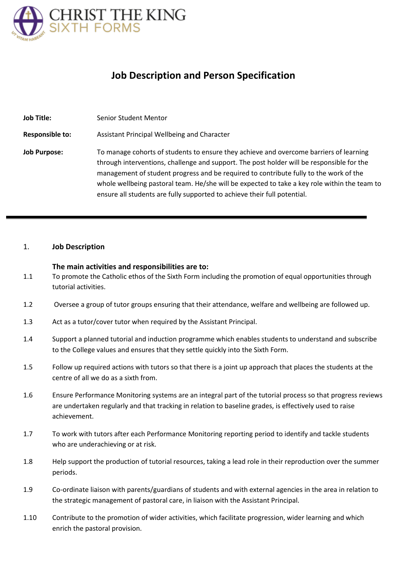

## **Job Description and Person Specification**

**Job Title:** Senior Student Mentor **Responsible to:** Assistant Principal Wellbeing and Character **Job Purpose:** To manage cohorts of students to ensure they achieve and overcome barriers of learning through interventions, challenge and support. The post holder will be responsible for the management of student progress and be required to contribute fully to the work of the whole wellbeing pastoral team. He/she will be expected to take a key role within the team to ensure all students are fully supported to achieve their full potential.

### 1. **Job Description**

#### **The main activities and responsibilities are to:**

- 1.1 To promote the Catholic ethos of the Sixth Form including the promotion of equal opportunities through tutorial activities.
- 1.2 Oversee a group of tutor groups ensuring that their attendance, welfare and wellbeing are followed up.
- 1.3 Act as a tutor/cover tutor when required by the Assistant Principal.
- 1.4 Support a planned tutorial and induction programme which enables students to understand and subscribe to the College values and ensures that they settle quickly into the Sixth Form.
- 1.5 Follow up required actions with tutors so that there is a joint up approach that places the students at the centre of all we do as a sixth from.
- 1.6 Ensure Performance Monitoring systems are an integral part of the tutorial process so that progress reviews are undertaken regularly and that tracking in relation to baseline grades, is effectively used to raise achievement.
- 1.7 To work with tutors after each Performance Monitoring reporting period to identify and tackle students who are underachieving or at risk.
- 1.8 Help support the production of tutorial resources, taking a lead role in their reproduction over the summer periods.
- 1.9 Co-ordinate liaison with parents/guardians of students and with external agencies in the area in relation to the strategic management of pastoral care, in liaison with the Assistant Principal.
- 1.10 Contribute to the promotion of wider activities, which facilitate progression, wider learning and which enrich the pastoral provision.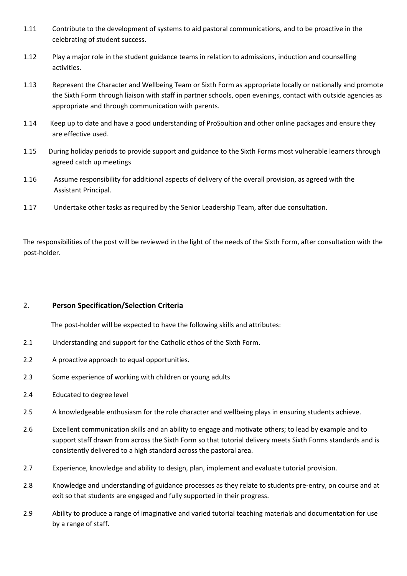- 1.11 Contribute to the development of systems to aid pastoral communications, and to be proactive in the celebrating of student success.
- 1.12 Play a major role in the student guidance teams in relation to admissions, induction and counselling activities.
- 1.13 Represent the Character and Wellbeing Team or Sixth Form as appropriate locally or nationally and promote the Sixth Form through liaison with staff in partner schools, open evenings, contact with outside agencies as appropriate and through communication with parents.
- 1.14 Keep up to date and have a good understanding of ProSoultion and other online packages and ensure they are effective used.
- 1.15 During holiday periods to provide support and guidance to the Sixth Forms most vulnerable learners through agreed catch up meetings
- 1.16 Assume responsibility for additional aspects of delivery of the overall provision, as agreed with the Assistant Principal.
- 1.17 Undertake other tasks as required by the Senior Leadership Team, after due consultation.

The responsibilities of the post will be reviewed in the light of the needs of the Sixth Form, after consultation with the post-holder.

### 2. **Person Specification/Selection Criteria**

The post-holder will be expected to have the following skills and attributes:

- 2.1 Understanding and support for the Catholic ethos of the Sixth Form.
- 2.2 A proactive approach to equal opportunities.
- 2.3 Some experience of working with children or young adults
- 2.4 Educated to degree level
- 2.5 A knowledgeable enthusiasm for the role character and wellbeing plays in ensuring students achieve.
- 2.6 Excellent communication skills and an ability to engage and motivate others; to lead by example and to support staff drawn from across the Sixth Form so that tutorial delivery meets Sixth Forms standards and is consistently delivered to a high standard across the pastoral area.
- 2.7 Experience, knowledge and ability to design, plan, implement and evaluate tutorial provision.
- 2.8 Knowledge and understanding of guidance processes as they relate to students pre-entry, on course and at exit so that students are engaged and fully supported in their progress.
- 2.9 Ability to produce a range of imaginative and varied tutorial teaching materials and documentation for use by a range of staff.